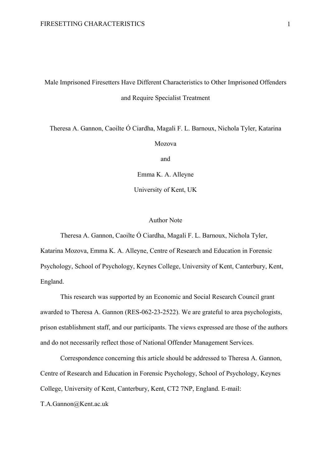# Male Imprisoned Firesetters Have Different Characteristics to Other Imprisoned Offenders and Require Specialist Treatment

Theresa A. Gannon, Caoilte Ó Ciardha, Magali F. L. Barnoux, Nichola Tyler, Katarina

Mozova

and

Emma K. A. Alleyne

University of Kent, UK

#### Author Note

Theresa A. Gannon, Caoilte Ó Ciardha, Magali F. L. Barnoux, Nichola Tyler, Katarina Mozova, Emma K. A. Alleyne, Centre of Research and Education in Forensic Psychology, School of Psychology, Keynes College, University of Kent, Canterbury, Kent, England.

This research was supported by an Economic and Social Research Council grant awarded to Theresa A. Gannon (RES-062-23-2522). We are grateful to area psychologists, prison establishment staff, and our participants. The views expressed are those of the authors and do not necessarily reflect those of National Offender Management Services.

Correspondence concerning this article should be addressed to Theresa A. Gannon, Centre of Research and Education in Forensic Psychology, School of Psychology, Keynes College, University of Kent, Canterbury, Kent, CT2 7NP, England. E-mail:

T.A.Gannon@Kent.ac.uk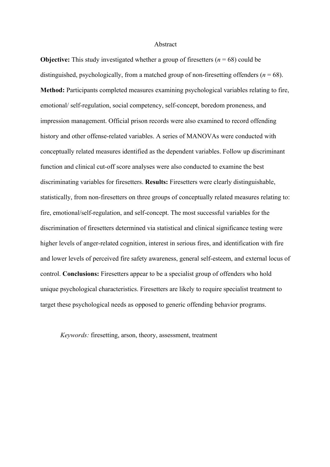#### Abstract

**Objective:** This study investigated whether a group of firesetters  $(n = 68)$  could be distinguished, psychologically, from a matched group of non-firesetting offenders ( $n = 68$ ). **Method:** Participants completed measures examining psychological variables relating to fire, emotional/ self-regulation, social competency, self-concept, boredom proneness, and impression management. Official prison records were also examined to record offending history and other offense-related variables. A series of MANOVAs were conducted with conceptually related measures identified as the dependent variables. Follow up discriminant function and clinical cut-off score analyses were also conducted to examine the best discriminating variables for firesetters. **Results:** Firesetters were clearly distinguishable, statistically, from non-firesetters on three groups of conceptually related measures relating to: fire, emotional/self-regulation, and self-concept. The most successful variables for the discrimination of firesetters determined via statistical and clinical significance testing were higher levels of anger-related cognition, interest in serious fires, and identification with fire and lower levels of perceived fire safety awareness, general self-esteem, and external locus of control. **Conclusions:** Firesetters appear to be a specialist group of offenders who hold unique psychological characteristics. Firesetters are likely to require specialist treatment to target these psychological needs as opposed to generic offending behavior programs.

*Keywords:* firesetting, arson, theory, assessment, treatment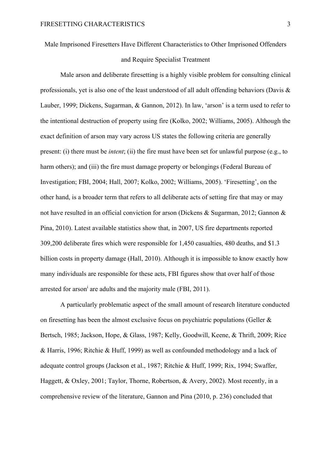Male Imprisoned Firesetters Have Different Characteristics to Other Imprisoned Offenders

# and Require Specialist Treatment

Male arson and deliberate firesetting is a highly visible problem for consulting clinical professionals, yet is also one of the least understood of all adult offending behaviors (Davis  $\&$ Lauber, 1999; Dickens, Sugarman, & Gannon, 2012). In law, 'arson' is a term used to refer to the intentional destruction of property using fire (Kolko, 2002; Williams, 2005). Although the exact definition of arson may vary across US states the following criteria are generally present: (i) there must be *intent*; (ii) the fire must have been set for unlawful purpose (e.g., to harm others); and (iii) the fire must damage property or belongings (Federal Bureau of Investigation; FBI, 2004; Hall, 2007; Kolko, 2002; Williams, 2005). 'Firesetting', on the other hand, is a broader term that refers to all deliberate acts of setting fire that may or may not have resulted in an official conviction for arson (Dickens & Sugarman, 2012; Gannon & Pina, 2010). Latest available statistics show that, in 2007, US fire departments reported 309,200 deliberate fires which were responsible for 1,450 casualties, 480 deaths, and \$1.3 billion costs in property damage (Hall, 2010). Although it is impossible to know exactly how many individuals are responsible for these acts, FBI figures show that over half of those arrested for arson<sup>i</sup> are adults and the majority male (FBI, 2011).

A particularly problematic aspect of the small amount of research literature conducted on firesetting has been the almost exclusive focus on psychiatric populations (Geller & Bertsch, 1985; Jackson, Hope, & Glass, 1987; Kelly, Goodwill, Keene, & Thrift, 2009; Rice & Harris, 1996; Ritchie & Huff, 1999) as well as confounded methodology and a lack of adequate control groups (Jackson et al., 1987; Ritchie & Huff, 1999; Rix, 1994; Swaffer, Haggett, & Oxley, 2001; Taylor, Thorne, Robertson, & Avery, 2002). Most recently, in a comprehensive review of the literature, Gannon and Pina (2010, p. 236) concluded that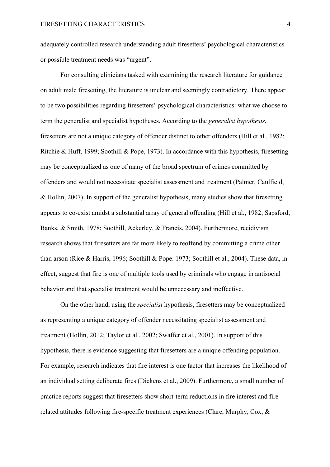adequately controlled research understanding adult firesetters' psychological characteristics or possible treatment needs was "urgent".

For consulting clinicians tasked with examining the research literature for guidance on adult male firesetting, the literature is unclear and seemingly contradictory. There appear to be two possibilities regarding firesetters' psychological characteristics: what we choose to term the generalist and specialist hypotheses. According to the *generalist hypothesis*, firesetters are not a unique category of offender distinct to other offenders (Hill et al., 1982; Ritchie & Huff, 1999; Soothill & Pope, 1973). In accordance with this hypothesis, firesetting may be conceptualized as one of many of the broad spectrum of crimes committed by offenders and would not necessitate specialist assessment and treatment (Palmer, Caulfield, & Hollin, 2007). In support of the generalist hypothesis, many studies show that firesetting appears to co-exist amidst a substantial array of general offending (Hill et al., 1982; Sapsford, Banks, & Smith, 1978; Soothill, Ackerley, & Francis, 2004). Furthermore, recidivism research shows that firesetters are far more likely to reoffend by committing a crime other than arson (Rice & Harris, 1996; Soothill & Pope. 1973; Soothill et al., 2004). These data, in effect, suggest that fire is one of multiple tools used by criminals who engage in antisocial behavior and that specialist treatment would be unnecessary and ineffective.

On the other hand, using the *specialist* hypothesis, firesetters may be conceptualized as representing a unique category of offender necessitating specialist assessment and treatment (Hollin, 2012; Taylor et al., 2002; Swaffer et al., 2001). In support of this hypothesis, there is evidence suggesting that firesetters are a unique offending population. For example, research indicates that fire interest is one factor that increases the likelihood of an individual setting deliberate fires (Dickens et al., 2009). Furthermore, a small number of practice reports suggest that firesetters show short-term reductions in fire interest and firerelated attitudes following fire-specific treatment experiences (Clare, Murphy, Cox, &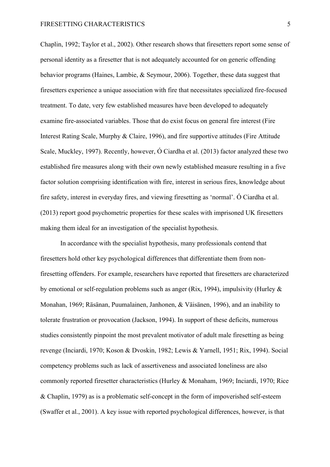Chaplin, 1992; Taylor et al., 2002). Other research shows that firesetters report some sense of personal identity as a firesetter that is not adequately accounted for on generic offending behavior programs (Haines, Lambie, & Seymour, 2006). Together, these data suggest that firesetters experience a unique association with fire that necessitates specialized fire-focused treatment. To date, very few established measures have been developed to adequately examine fire-associated variables. Those that do exist focus on general fire interest (Fire Interest Rating Scale, Murphy & Claire, 1996), and fire supportive attitudes (Fire Attitude Scale, Muckley, 1997). Recently, however, Ó Ciardha et al. (2013) factor analyzed these two established fire measures along with their own newly established measure resulting in a five factor solution comprising identification with fire, interest in serious fires, knowledge about fire safety, interest in everyday fires, and viewing firesetting as 'normal'. Ó Ciardha et al. (2013) report good psychometric properties for these scales with imprisoned UK firesetters making them ideal for an investigation of the specialist hypothesis.

In accordance with the specialist hypothesis, many professionals contend that firesetters hold other key psychological differences that differentiate them from nonfiresetting offenders. For example, researchers have reported that firesetters are characterized by emotional or self-regulation problems such as anger (Rix, 1994), impulsivity (Hurley & Monahan, 1969; Räsänan, Puumalainen, Janhonen, & Väisänen, 1996), and an inability to tolerate frustration or provocation (Jackson, 1994). In support of these deficits, numerous studies consistently pinpoint the most prevalent motivator of adult male firesetting as being revenge (Inciardi, 1970; Koson & Dvoskin, 1982; Lewis & Yarnell, 1951; Rix, 1994). Social competency problems such as lack of assertiveness and associated loneliness are also commonly reported firesetter characteristics (Hurley & Monaham, 1969; Inciardi, 1970; Rice & Chaplin, 1979) as is a problematic self-concept in the form of impoverished self-esteem (Swaffer et al., 2001). A key issue with reported psychological differences, however, is that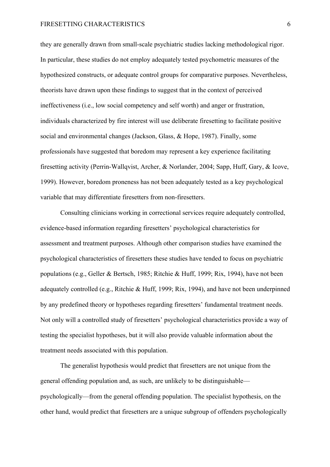#### FIRESETTING CHARACTERISTICS 6

they are generally drawn from small-scale psychiatric studies lacking methodological rigor. In particular, these studies do not employ adequately tested psychometric measures of the hypothesized constructs, or adequate control groups for comparative purposes. Nevertheless, theorists have drawn upon these findings to suggest that in the context of perceived ineffectiveness (i.e., low social competency and self worth) and anger or frustration, individuals characterized by fire interest will use deliberate firesetting to facilitate positive social and environmental changes (Jackson, Glass, & Hope, 1987). Finally, some professionals have suggested that boredom may represent a key experience facilitating firesetting activity (Perrin-Wallqvist, Archer, & Norlander, 2004; Sapp, Huff, Gary, & Icove, 1999). However, boredom proneness has not been adequately tested as a key psychological variable that may differentiate firesetters from non-firesetters.

Consulting clinicians working in correctional services require adequately controlled, evidence-based information regarding firesetters' psychological characteristics for assessment and treatment purposes. Although other comparison studies have examined the psychological characteristics of firesetters these studies have tended to focus on psychiatric populations (e.g., Geller & Bertsch, 1985; Ritchie & Huff, 1999; Rix, 1994), have not been adequately controlled (e.g., Ritchie & Huff, 1999; Rix, 1994), and have not been underpinned by any predefined theory or hypotheses regarding firesetters' fundamental treatment needs. Not only will a controlled study of firesetters' psychological characteristics provide a way of testing the specialist hypotheses, but it will also provide valuable information about the treatment needs associated with this population.

The generalist hypothesis would predict that firesetters are not unique from the general offending population and, as such, are unlikely to be distinguishable psychologically—from the general offending population. The specialist hypothesis, on the other hand, would predict that firesetters are a unique subgroup of offenders psychologically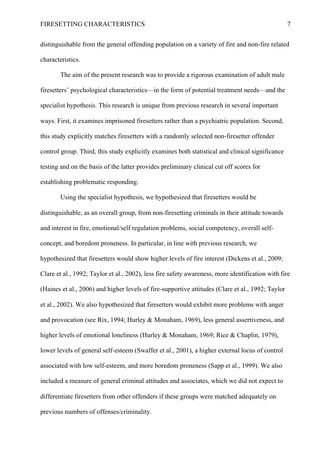distinguishable from the general offending population on a variety of fire and non-fire related characteristics.

The aim of the present research was to provide a rigorous examination of adult male firesetters' psychological characteristics—in the form of potential treatment needs—and the specialist hypothesis. This research is unique from previous research in several important ways. First, it examines imprisoned firesetters rather than a psychiatric population. Second, this study explicitly matches firesetters with a randomly selected non-firesetter offender control group. Third, this study explicitly examines both statistical and clinical significance testing and on the basis of the latter provides preliminary clinical cut off scores for establishing problematic responding.

Using the specialist hypothesis, we hypothesized that firesetters would be distinguishable, as an overall group, from non-firesetting criminals in their attitude towards and interest in fire, emotional/self regulation problems, social competency, overall selfconcept, and boredom proneness. In particular, in line with previous research, we hypothesized that firesetters would show higher levels of fire interest (Dickens et al., 2009; Clare et al., 1992; Taylor et al., 2002), less fire safety awareness, more identification with fire (Haines et al., 2006) and higher levels of fire-supportive attitudes (Clare et al., 1992; Taylor et al., 2002). We also hypothesized that firesetters would exhibit more problems with anger and provocation (see Rix, 1994; Hurley & Monaham, 1969), less general assertiveness, and higher levels of emotional loneliness (Hurley & Monaham, 1969; Rice & Chaplin, 1979), lower levels of general self-esteem (Swaffer et al., 2001), a higher external locus of control associated with low self-esteem, and more boredom proneness (Sapp et al., 1999). We also included a measure of general criminal attitudes and associates, which we did not expect to differentiate firesetters from other offenders if these groups were matched adequately on previous numbers of offenses/criminality.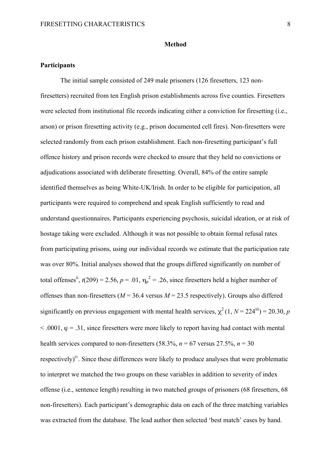#### **Method**

## **Participants**

The initial sample consisted of 249 male prisoners (126 firesetters, 123 nonfiresetters) recruited from ten English prison establishments across five counties. Firesetters were selected from institutional file records indicating either a conviction for firesetting (i.e., arson) or prison firesetting activity (e.g., prison documented cell fires). Non-firesetters were selected randomly from each prison establishment. Each non-firesetting participant's full offence history and prison records were checked to ensure that they held no convictions or adjudications associated with deliberate firesetting. Overall, 84% of the entire sample identified themselves as being White-UK/Irish. In order to be eligible for participation, all participants were required to comprehend and speak English sufficiently to read and understand questionnaires. Participants experiencing psychosis, suicidal ideation, or at risk of hostage taking were excluded. Although it was not possible to obtain formal refusal rates from participating prisons, using our individual records we estimate that the participation rate was over 80%. Initial analyses showed that the groups differed significantly on number of total offenses<sup>ii</sup>,  $t(209) = 2.56$ ,  $p = .01$ ,  $\eta_p^2 = .26$ , since firesetters held a higher number of offenses than non-firesetters ( $M = 36.4$  versus  $M = 23.5$  respectively). Groups also differed significantly on previous engagement with mental health services,  $\chi^2(1, N = 224^{iii}) = 20.30, p$  $< .0001$ ,  $\varphi = .31$ , since firesetters were more likely to report having had contact with mental health services compared to non-firesetters  $(58.3\% \text{ n} = 67 \text{ versus } 27.5\% \text{ n} = 30$ respectively)<sup>iv</sup>. Since these differences were likely to produce analyses that were problematic to interpret we matched the two groups on these variables in addition to severity of index offense (i.e., sentence length) resulting in two matched groups of prisoners (68 firesetters, 68 non-firesetters). Each participant's demographic data on each of the three matching variables was extracted from the database. The lead author then selected 'best match' cases by hand.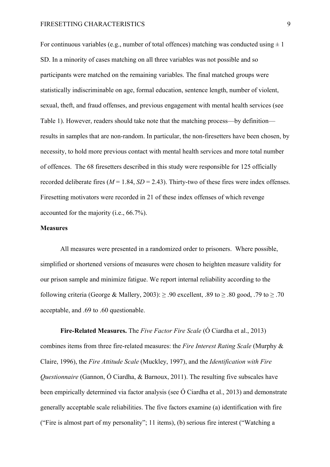For continuous variables (e.g., number of total offences) matching was conducted using  $\pm 1$ SD. In a minority of cases matching on all three variables was not possible and so participants were matched on the remaining variables. The final matched groups were statistically indiscriminable on age, formal education, sentence length, number of violent, sexual, theft, and fraud offenses, and previous engagement with mental health services (see Table 1). However, readers should take note that the matching process—by definition results in samples that are non-random. In particular, the non-firesetters have been chosen, by necessity, to hold more previous contact with mental health services and more total number of offences. The 68 firesetters described in this study were responsible for 125 officially recorded deliberate fires  $(M = 1.84, SD = 2.43)$ . Thirty-two of these fires were index offenses. Firesetting motivators were recorded in 21 of these index offenses of which revenge accounted for the majority (i.e., 66.7%).

## **Measures**

All measures were presented in a randomized order to prisoners. Where possible, simplified or shortened versions of measures were chosen to heighten measure validity for our prison sample and minimize fatigue. We report internal reliability according to the following criteria (George & Mallery, 2003):  $\geq 0.90$  excellent,  $0.89$  to  $\geq 0.80$  good,  $0.79$  to  $\geq 0.70$ acceptable, and .69 to .60 questionable.

**Fire-Related Measures.** The *Five Factor Fire Scale* (Ó Ciardha et al., 2013) combines items from three fire-related measures: the *Fire Interest Rating Scale* (Murphy & Claire, 1996), the *Fire Attitude Scale* (Muckley, 1997), and the *Identification with Fire Questionnaire* (Gannon, Ó Ciardha, & Barnoux, 2011). The resulting five subscales have been empirically determined via factor analysis (see Ó Ciardha et al., 2013) and demonstrate generally acceptable scale reliabilities. The five factors examine (a) identification with fire ("Fire is almost part of my personality"; 11 items), (b) serious fire interest ("Watching a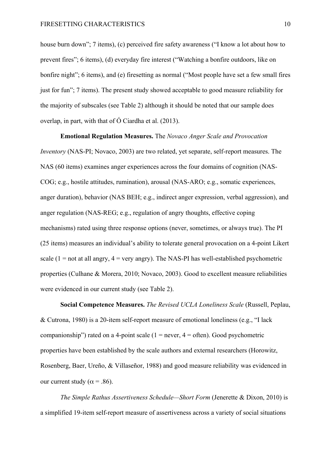house burn down"; 7 items), (c) perceived fire safety awareness ("I know a lot about how to prevent fires"; 6 items), (d) everyday fire interest ("Watching a bonfire outdoors, like on bonfire night"; 6 items), and (e) firesetting as normal ("Most people have set a few small fires just for fun"; 7 items). The present study showed acceptable to good measure reliability for the majority of subscales (see Table 2) although it should be noted that our sample does overlap, in part, with that of Ó Ciardha et al. (2013).

**Emotional Regulation Measures.** The *Novaco Anger Scale and Provocation Inventory* (NAS-PI; Novaco, 2003) are two related, yet separate, self-report measures. The NAS (60 items) examines anger experiences across the four domains of cognition (NAS-COG; e.g., hostile attitudes, rumination), arousal (NAS-ARO; e.g., somatic experiences, anger duration), behavior (NAS BEH; e.g., indirect anger expression, verbal aggression), and anger regulation (NAS-REG; e.g., regulation of angry thoughts, effective coping mechanisms) rated using three response options (never, sometimes, or always true). The PI (25 items) measures an individual's ability to tolerate general provocation on a 4-point Likert scale (1 = not at all angry,  $4 = \text{very angry}$ ). The NAS-PI has well-established psychometric properties (Culhane & Morera, 2010; Novaco, 2003). Good to excellent measure reliabilities were evidenced in our current study (see Table 2).

**Social Competence Measures.** *The Revised UCLA Loneliness Scale* (Russell, Peplau, & Cutrona, 1980) is a 20-item self-report measure of emotional loneliness (e.g., "I lack companionship") rated on a 4-point scale  $(1 = never, 4 = often)$ . Good psychometric properties have been established by the scale authors and external researchers (Horowitz, Rosenberg, Baer, Ureño, & Villaseñor, 1988) and good measure reliability was evidenced in our current study ( $\alpha$  = .86).

*The Simple Rathus Assertiveness Schedule—Short Form* (Jenerette & Dixon, 2010) is a simplified 19-item self-report measure of assertiveness across a variety of social situations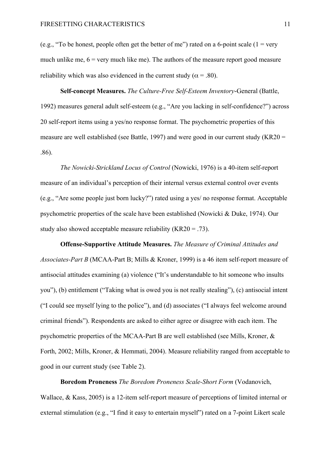(e.g., "To be honest, people often get the better of me") rated on a 6-point scale ( $1 = \text{very}$ ) much unlike me,  $6 = \text{very much like me}$ . The authors of the measure report good measure reliability which was also evidenced in the current study ( $\alpha$  = .80).

**Self-concept Measures.** *The Culture-Free Self-Esteem Inventory*-General (Battle, 1992) measures general adult self-esteem (e.g., "Are you lacking in self-confidence?") across 20 self-report items using a yes/no response format. The psychometric properties of this measure are well established (see Battle, 1997) and were good in our current study (KR20 = .86).

*The Nowicki-Strickland Locus of Control* (Nowicki, 1976) is a 40-item self-report measure of an individual's perception of their internal versus external control over events (e.g., "Are some people just born lucky?") rated using a yes/ no response format. Acceptable psychometric properties of the scale have been established (Nowicki & Duke, 1974). Our study also showed acceptable measure reliability  $(KR20 = .73)$ .

**Offense-Supportive Attitude Measures.** *The Measure of Criminal Attitudes and Associates-Part B* (MCAA-Part B; Mills & Kroner, 1999) is a 46 item self-report measure of antisocial attitudes examining (a) violence ("It's understandable to hit someone who insults you"), (b) entitlement ("Taking what is owed you is not really stealing"), (c) antisocial intent ("I could see myself lying to the police"), and (d) associates ("I always feel welcome around criminal friends"). Respondents are asked to either agree or disagree with each item. The psychometric properties of the MCAA-Part B are well established (see Mills, Kroner, & Forth, 2002; Mills, Kroner, & Hemmati, 2004). Measure reliability ranged from acceptable to good in our current study (see Table 2).

**Boredom Proneness** *The Boredom Proneness Scale-Short Form* (Vodanovich, Wallace, & Kass, 2005) is a 12-item self-report measure of perceptions of limited internal or external stimulation (e.g., "I find it easy to entertain myself") rated on a 7-point Likert scale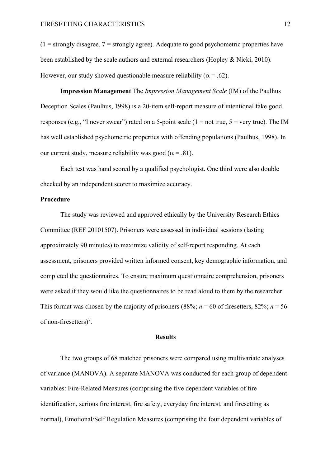$(1 =$  strongly disagree,  $7 =$  strongly agree). Adequate to good psychometric properties have been established by the scale authors and external researchers (Hopley & Nicki, 2010). However, our study showed questionable measure reliability ( $\alpha$  = .62).

**Impression Management** The *Impression Management Scale* (IM) of the Paulhus Deception Scales (Paulhus, 1998) is a 20-item self-report measure of intentional fake good responses (e.g., "I never swear") rated on a 5-point scale ( $1 = not true$ ,  $5 = very true$ ). The IM has well established psychometric properties with offending populations (Paulhus, 1998). In our current study, measure reliability was good ( $\alpha$  = .81).

Each test was hand scored by a qualified psychologist. One third were also double checked by an independent scorer to maximize accuracy.

## **Procedure**

The study was reviewed and approved ethically by the University Research Ethics Committee (REF 20101507). Prisoners were assessed in individual sessions (lasting approximately 90 minutes) to maximize validity of self-report responding. At each assessment, prisoners provided written informed consent, key demographic information, and completed the questionnaires. To ensure maximum questionnaire comprehension, prisoners were asked if they would like the questionnaires to be read aloud to them by the researcher. This format was chosen by the majority of prisoners (88%;  $n = 60$  of firesetters, 82%;  $n = 56$ of non-firesetters)<sup>v</sup>.

## **Results**

The two groups of 68 matched prisoners were compared using multivariate analyses of variance (MANOVA). A separate MANOVA was conducted for each group of dependent variables: Fire-Related Measures (comprising the five dependent variables of fire identification, serious fire interest, fire safety, everyday fire interest, and firesetting as normal), Emotional/Self Regulation Measures (comprising the four dependent variables of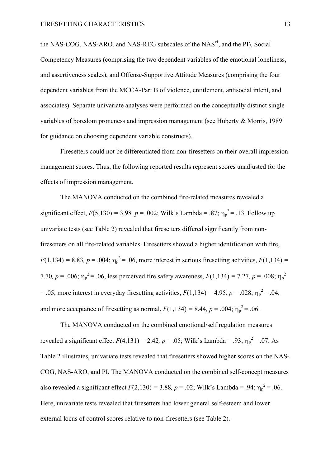the NAS-COG, NAS-ARO, and NAS-REG subscales of the NAS<sup>vi</sup>, and the PI), Social Competency Measures (comprising the two dependent variables of the emotional loneliness, and assertiveness scales), and Offense-Supportive Attitude Measures (comprising the four dependent variables from the MCCA-Part B of violence, entitlement, antisocial intent, and associates). Separate univariate analyses were performed on the conceptually distinct single variables of boredom proneness and impression management (see Huberty & Morris, 1989 for guidance on choosing dependent variable constructs).

Firesetters could not be differentiated from non-firesetters on their overall impression management scores. Thus, the following reported results represent scores unadjusted for the effects of impression management.

The MANOVA conducted on the combined fire-related measures revealed a significant effect,  $F(5,130) = 3.98$ ,  $p = .002$ ; Wilk's Lambda = .87;  $\eta_p^2 = .13$ . Follow up univariate tests (see Table 2) revealed that firesetters differed significantly from nonfiresetters on all fire-related variables. Firesetters showed a higher identification with fire,  $F(1,134) = 8.83, p = .004; \eta_p^2 = .06$ , more interest in serious firesetting activities,  $F(1,134) =$ 7.70*, p* = .006;  $\eta_p^2$  = .06, less perceived fire safety awareness,  $F(1,134) = 7.27$ , *p* = .008;  $\eta_p^2$  $= .05$ , more interest in everyday firesetting activities,  $F(1,134) = 4.95$ ,  $p = .028$ ;  $\eta_p^2 = .04$ , and more acceptance of firesetting as normal,  $F(1,134) = 8.44$ ,  $p = .004$ ;  $\eta_p^2 = .06$ .

The MANOVA conducted on the combined emotional/self regulation measures revealed a significant effect  $F(4,131) = 2.42$ ,  $p = .05$ ; Wilk's Lambda = .93;  $\eta_p^2 = .07$ . As Table 2 illustrates, univariate tests revealed that firesetters showed higher scores on the NAS-COG, NAS-ARO, and PI. The MANOVA conducted on the combined self-concept measures also revealed a significant effect  $F(2,130) = 3.88$ ,  $p = .02$ ; Wilk's Lambda = .94;  $\eta_p^2 = .06$ . Here, univariate tests revealed that firesetters had lower general self-esteem and lower external locus of control scores relative to non-firesetters (see Table 2).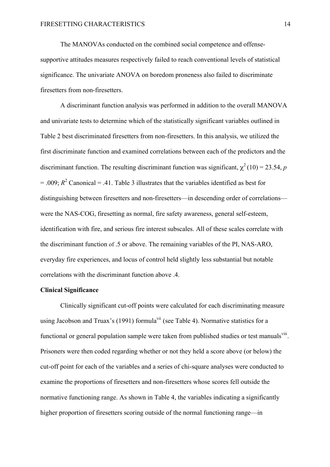The MANOVAs conducted on the combined social competence and offensesupportive attitudes measures respectively failed to reach conventional levels of statistical significance. The univariate ANOVA on boredom proneness also failed to discriminate firesetters from non-firesetters.

A discriminant function analysis was performed in addition to the overall MANOVA and univariate tests to determine which of the statistically significant variables outlined in Table 2 best discriminated firesetters from non-firesetters. In this analysis, we utilized the first discriminate function and examined correlations between each of the predictors and the discriminant function. The resulting discriminant function was significant,  $\chi^2(10) = 23.54$ , *p*  $= .009$ ;  $R^2$  Canonical  $= .41$ . Table 3 illustrates that the variables identified as best for distinguishing between firesetters and non-firesetters—in descending order of correlations were the NAS-COG, firesetting as normal, fire safety awareness, general self-esteem, identification with fire, and serious fire interest subscales. All of these scales correlate with the discriminant function of .5 or above. The remaining variables of the PI, NAS-ARO, everyday fire experiences, and locus of control held slightly less substantial but notable correlations with the discriminant function above .4.

## **Clinical Significance**

Clinically significant cut-off points were calculated for each discriminating measure using Jacobson and Truax's (1991) formula<sup>vii</sup> (see Table 4). Normative statistics for a functional or general population sample were taken from published studies or test manuals $\frac{v_{\text{lin}}}{v_{\text{lin}}}\$ . Prisoners were then coded regarding whether or not they held a score above (or below) the cut-off point for each of the variables and a series of chi-square analyses were conducted to examine the proportions of firesetters and non-firesetters whose scores fell outside the normative functioning range. As shown in Table 4, the variables indicating a significantly higher proportion of firesetters scoring outside of the normal functioning range—in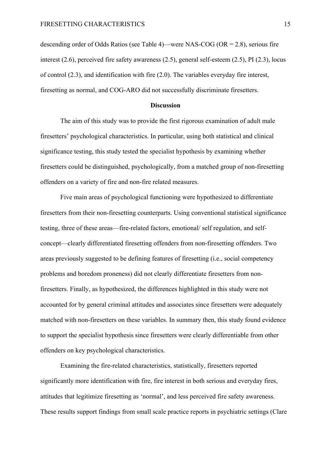descending order of Odds Ratios (see Table 4)—were NAS-COG (OR = 2.8), serious fire interest (2.6), perceived fire safety awareness (2.5), general self-esteem (2.5), PI (2.3), locus of control (2.3), and identification with fire (2.0). The variables everyday fire interest, firesetting as normal, and COG-ARO did not successfully discriminate firesetters.

#### **Discussion**

The aim of this study was to provide the first rigorous examination of adult male firesetters' psychological characteristics. In particular, using both statistical and clinical significance testing, this study tested the specialist hypothesis by examining whether firesetters could be distinguished, psychologically, from a matched group of non-firesetting offenders on a variety of fire and non-fire related measures.

Five main areas of psychological functioning were hypothesized to differentiate firesetters from their non-firesetting counterparts. Using conventional statistical significance testing, three of these areas—fire-related factors, emotional/ self regulation, and selfconcept—clearly differentiated firesetting offenders from non-firesetting offenders. Two areas previously suggested to be defining features of firesetting (i.e., social competency problems and boredom proneness) did not clearly differentiate firesetters from nonfiresetters. Finally, as hypothesized, the differences highlighted in this study were not accounted for by general criminal attitudes and associates since firesetters were adequately matched with non-firesetters on these variables. In summary then, this study found evidence to support the specialist hypothesis since firesetters were clearly differentiable from other offenders on key psychological characteristics.

Examining the fire-related characteristics, statistically, firesetters reported significantly more identification with fire, fire interest in both serious and everyday fires, attitudes that legitimize firesetting as 'normal', and less perceived fire safety awareness. These results support findings from small scale practice reports in psychiatric settings (Clare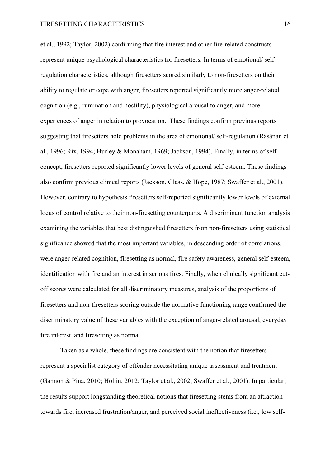et al., 1992; Taylor, 2002) confirming that fire interest and other fire-related constructs represent unique psychological characteristics for firesetters. In terms of emotional/ self regulation characteristics, although firesetters scored similarly to non-firesetters on their ability to regulate or cope with anger, firesetters reported significantly more anger-related cognition (e.g., rumination and hostility), physiological arousal to anger, and more experiences of anger in relation to provocation. These findings confirm previous reports suggesting that firesetters hold problems in the area of emotional/ self-regulation (Räsänan et al., 1996; Rix, 1994; Hurley & Monaham, 1969; Jackson, 1994). Finally, in terms of selfconcept, firesetters reported significantly lower levels of general self-esteem. These findings also confirm previous clinical reports (Jackson, Glass, & Hope, 1987; Swaffer et al., 2001). However, contrary to hypothesis firesetters self-reported significantly lower levels of external locus of control relative to their non-firesetting counterparts. A discriminant function analysis examining the variables that best distinguished firesetters from non-firesetters using statistical significance showed that the most important variables, in descending order of correlations, were anger-related cognition, firesetting as normal, fire safety awareness, general self-esteem, identification with fire and an interest in serious fires. Finally, when clinically significant cutoff scores were calculated for all discriminatory measures, analysis of the proportions of firesetters and non-firesetters scoring outside the normative functioning range confirmed the discriminatory value of these variables with the exception of anger-related arousal, everyday fire interest, and firesetting as normal.

Taken as a whole, these findings are consistent with the notion that firesetters represent a specialist category of offender necessitating unique assessment and treatment (Gannon & Pina, 2010; Hollin, 2012; Taylor et al., 2002; Swaffer et al., 2001). In particular, the results support longstanding theoretical notions that firesetting stems from an attraction towards fire, increased frustration/anger, and perceived social ineffectiveness (i.e., low self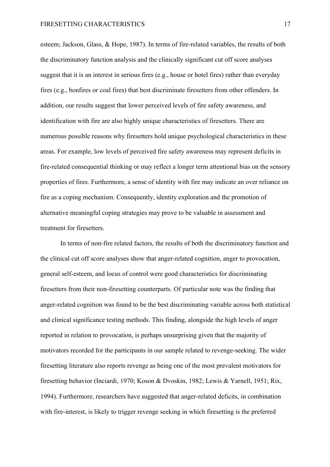esteem; Jackson, Glass, & Hope, 1987). In terms of fire-related variables, the results of both the discriminatory function analysis and the clinically significant cut off score analyses suggest that it is an interest in serious fires (e.g., house or hotel fires) rather than everyday fires (e.g., bonfires or coal fires) that best discriminate firesetters from other offenders. In addition, our results suggest that lower perceived levels of fire safety awareness, and identification with fire are also highly unique characteristics of firesetters. There are numerous possible reasons why firesetters hold unique psychological characteristics in these areas. For example, low levels of perceived fire safety awareness may represent deficits in fire-related consequential thinking or may reflect a longer term attentional bias on the sensory properties of fires. Furthermore, a sense of identity with fire may indicate an over reliance on fire as a coping mechanism. Consequently, identity exploration and the promotion of alternative meaningful coping strategies may prove to be valuable in assessment and treatment for firesetters.

In terms of non-fire related factors, the results of both the discriminatory function and the clinical cut off score analyses show that anger-related cognition, anger to provocation, general self-esteem, and locus of control were good characteristics for discriminating firesetters from their non-firesetting counterparts. Of particular note was the finding that anger-related cognition was found to be the best discriminating variable across both statistical and clinical significance testing methods. This finding, alongside the high levels of anger reported in relation to provocation, is perhaps unsurprising given that the majority of motivators recorded for the participants in our sample related to revenge-seeking. The wider firesetting literature also reports revenge as being one of the most prevalent motivators for firesetting behavior (Inciardi, 1970; Koson & Dvoskin, 1982; Lewis & Yarnell, 1951; Rix, 1994). Furthermore, researchers have suggested that anger-related deficits, in combination with fire-interest, is likely to trigger revenge seeking in which firesetting is the preferred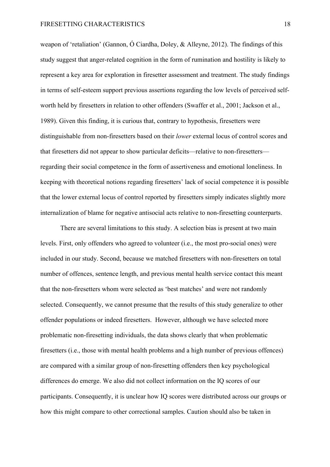weapon of 'retaliation' (Gannon, Ó Ciardha, Doley, & Alleyne, 2012). The findings of this study suggest that anger-related cognition in the form of rumination and hostility is likely to represent a key area for exploration in firesetter assessment and treatment. The study findings in terms of self-esteem support previous assertions regarding the low levels of perceived selfworth held by firesetters in relation to other offenders (Swaffer et al., 2001; Jackson et al., 1989). Given this finding, it is curious that, contrary to hypothesis, firesetters were distinguishable from non-firesetters based on their *lower* external locus of control scores and that firesetters did not appear to show particular deficits—relative to non-firesetters regarding their social competence in the form of assertiveness and emotional loneliness. In keeping with theoretical notions regarding firesetters' lack of social competence it is possible that the lower external locus of control reported by firesetters simply indicates slightly more internalization of blame for negative antisocial acts relative to non-firesetting counterparts.

There are several limitations to this study. A selection bias is present at two main levels. First, only offenders who agreed to volunteer (i.e., the most pro-social ones) were included in our study. Second, because we matched firesetters with non-firesetters on total number of offences, sentence length, and previous mental health service contact this meant that the non-firesetters whom were selected as 'best matches' and were not randomly selected. Consequently, we cannot presume that the results of this study generalize to other offender populations or indeed firesetters. However, although we have selected more problematic non-firesetting individuals, the data shows clearly that when problematic firesetters (i.e., those with mental health problems and a high number of previous offences) are compared with a similar group of non-firesetting offenders then key psychological differences do emerge. We also did not collect information on the IQ scores of our participants. Consequently, it is unclear how IQ scores were distributed across our groups or how this might compare to other correctional samples. Caution should also be taken in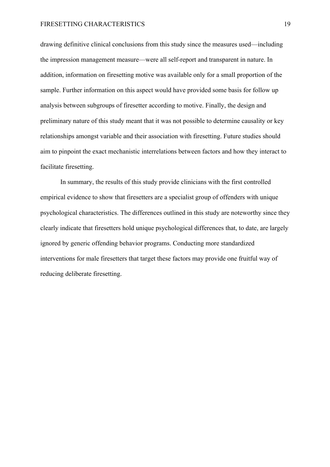#### FIRESETTING CHARACTERISTICS 19

drawing definitive clinical conclusions from this study since the measures used—including the impression management measure—were all self-report and transparent in nature. In addition, information on firesetting motive was available only for a small proportion of the sample. Further information on this aspect would have provided some basis for follow up analysis between subgroups of firesetter according to motive. Finally, the design and preliminary nature of this study meant that it was not possible to determine causality or key relationships amongst variable and their association with firesetting. Future studies should aim to pinpoint the exact mechanistic interrelations between factors and how they interact to facilitate firesetting.

In summary, the results of this study provide clinicians with the first controlled empirical evidence to show that firesetters are a specialist group of offenders with unique psychological characteristics. The differences outlined in this study are noteworthy since they clearly indicate that firesetters hold unique psychological differences that, to date, are largely ignored by generic offending behavior programs. Conducting more standardized interventions for male firesetters that target these factors may provide one fruitful way of reducing deliberate firesetting.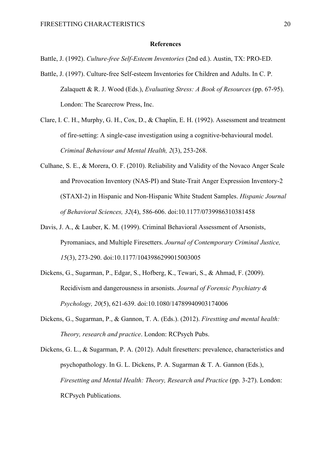#### **References**

Battle, J. (1992). *Culture-free Self-Esteem Inventories* (2nd ed.). Austin, TX: PRO-ED.

- Battle, J. (1997). Culture-free Self-esteem Inventories for Children and Adults. In C. P. Zalaquett & R. J. Wood (Eds.), *Evaluating Stress: A Book of Resources* (pp. 67-95). London: The Scarecrow Press, Inc.
- Clare, I. C. H., Murphy, G. H., Cox, D., & Chaplin, E. H. (1992). Assessment and treatment of fire-setting: A single-case investigation using a cognitive-behavioural model. *Criminal Behaviour and Mental Health, 2*(3), 253-268.
- Culhane, S. E., & Morera, O. F. (2010). Reliability and Validity of the Novaco Anger Scale and Provocation Inventory (NAS-PI) and State-Trait Anger Expression Inventory-2 (STAXI-2) in Hispanic and Non-Hispanic White Student Samples. *Hispanic Journal of Behavioral Sciences, 32*(4), 586-606. doi:10.1177/0739986310381458
- Davis, J. A., & Lauber, K. M. (1999). Criminal Behavioral Assessment of Arsonists, Pyromaniacs, and Multiple Firesetters. *Journal of Contemporary Criminal Justice, 15*(3), 273-290. doi:10.1177/1043986299015003005
- Dickens, G., Sugarman, P., Edgar, S., Hofberg, K., Tewari, S., & Ahmad, F. (2009). Recidivism and dangerousness in arsonists. *Journal of Forensic Psychiatry & Psychology, 20*(5), 621-639. doi:10.1080/14789940903174006
- Dickens, G., Sugarman, P., & Gannon, T. A. (Eds.). (2012). *Firestting and mental health: Theory, research and practice*. London: RCPsych Pubs.
- Dickens, G. L., & Sugarman, P. A. (2012). Adult firesetters: prevalence, characteristics and psychopathology. In G. L. Dickens, P. A. Sugarman & T. A. Gannon (Eds.), *Firesetting and Mental Health: Theory, Research and Practice* (pp. 3-27). London: RCPsych Publications.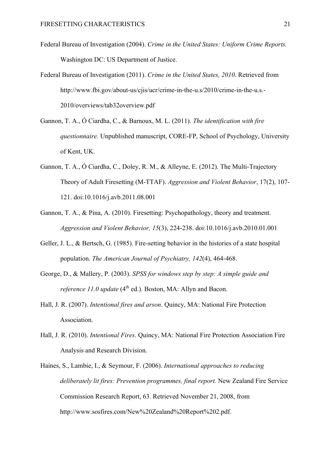- Federal Bureau of Investigation (2004). *Crime in the United States: Uniform Crime Reports.* Washington DC: US Department of Justice.
- Federal Bureau of Investigation (2011). *Crime in the United States, 2010*. Retrieved from http://www.fbi.gov/about-us/cjis/ucr/crime-in-the-u.s/2010/crime-in-the-u.s.- 2010/overviews/tab32overview.pdf
- Gannon, T. A., Ó Ciardha, C., & Barnoux, M. L. (2011). *The identification with fire questionnaire.* Unpublished manuscript, CORE-FP, School of Psychology, University of Kent, UK.
- Gannon, T. A., Ó Ciardha, C., Doley, R. M., & Alleyne, E. (2012). The Multi-Trajectory Theory of Adult Firesetting (M-TTAF). *Aggression and Violent Behavior*, 17(2), 107- 121. doi:10.1016/j.avb.2011.08.001
- Gannon, T. A., & Pina, A. (2010). Firesetting: Psychopathology, theory and treatment. *Aggression and Violent Behavior, 15*(3), 224-238. doi:10.1016/j.avb.2010.01.001
- Geller, J. L., & Bertsch, G. (1985). Fire-setting behavior in the histories of a state hospital population. *The American Journal of Psychiatry, 142*(4), 464-468.
- George, D., & Mallery, P. (2003). *SPSS for windows step by step: A simple guide and reference 11.0 update* (4<sup>th</sup> ed.). Boston, MA: Allyn and Bacon.
- Hall, J. R. (2007). *Intentional fires and arson*. Quincy, MA: National Fire Protection Association.
- Hall, J. R. (2010). *Intentional Fires*. Quincy, MA: National Fire Protection Association Fire Analysis and Research Division.
- Haines, S., Lambie, I., & Seymour, F. (2006). *International approaches to reducing deliberately lit fires: Prevention programmes, final report.* New Zealand Fire Service Commission Research Report, 63. Retrieved November 21, 2008, from http://www.sosfires.com/New%20Zealand%20Report%202.pdf.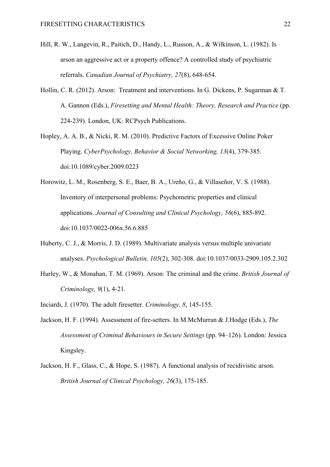- Hill, R. W., Langevin, R., Paitich, D., Handy, L., Russon, A., & Wilkinson, L. (1982). Is arson an aggressive act or a property offence? A controlled study of psychiatric referrals. *Canadian Journal of Psychiatry, 27*(8), 648-654.
- Hollin, C. R. (2012). Arson: Treatment and interventions. In G. Dickens, P. Sugarman & T. A. Gannon (Eds.), *Firesetting and Mental Health: Theory, Research and Practice* (pp. 224-239). London, UK: RCPsych Publications.
- Hopley, A. A. B., & Nicki, R. M. (2010). Predictive Factors of Excessive Online Poker Playing. *CyberPsychology, Behavior & Social Networking, 13*(4), 379-385. doi:10.1089/cyber.2009.0223
- Horowitz, L. M., Rosenberg, S. E., Baer, B. A., Ureño, G., & Villaseñor, V. S. (1988). Inventory of interpersonal problems: Psychometric properties and clinical applications. *Journal of Consulting and Clinical Psychology, 56*(6), 885-892. doi:10.1037/0022-006x.56.6.885
- Huberty, C. J., & Morris, J. D. (1989). Multivariate analysis versus multiple univariate analyses. *Psychological Bulletin, 105*(2), 302-308. doi:10.1037/0033-2909.105.2.302
- Hurley, W., & Monahan, T. M. (1969). Arson: The criminal and the crime. *British Journal of Criminology, 9*(1), 4-21.
- Inciardi, J. (1970). The adult firesetter. *Criminology, 8*, 145-155.
- Jackson, H. F. (1994). Assessment of fire-setters. In M.McMurran & J.Hodge (Eds.), *The Assessment of Criminal Behaviours in Secure Settings* (pp. 94–126). London: Jessica Kingsley.
- Jackson, H. F., Glass, C., & Hope, S. (1987). A functional analysis of recidivistic arson. *British Journal of Clinical Psychology, 26*(3), 175-185.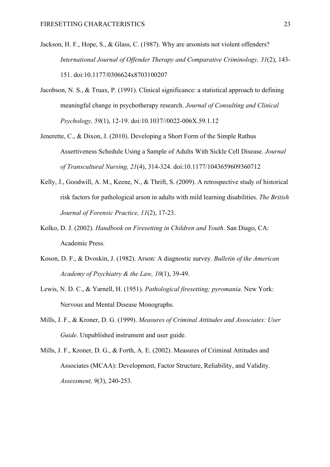- Jackson, H. F., Hope, S., & Glass, C. (1987). Why are arsonists not violent offenders? *International Journal of Offender Therapy and Comparative Criminology, 31*(2), 143- 151. doi:10.1177/0306624x8703100207
- Jacobson, N. S., & Truax, P. (1991). Clinical significance: a statistical approach to defining meaningful change in psychotherapy research. *Journal of Consulting and Clinical Psychology, 59*(1), 12-19. doi:10.1037//0022-006X.59.1.12
- Jenerette, C., & Dixon, J. (2010). Developing a Short Form of the Simple Rathus Assertiveness Schedule Using a Sample of Adults With Sickle Cell Disease. *Journal of Transcultural Nursing, 21*(4), 314-324. doi:10.1177/1043659609360712
- Kelly, J., Goodwill, A. M., Keene, N., & Thrift, S. (2009). A retrospective study of historical risk factors for pathological arson in adults with mild learning disabilities. *The British Journal of Forensic Practice, 11*(2), 17-23.
- Kolko, D. J. (2002). *Handbook on Firesetting in Children and Youth*. San Diago, CA: Academic Press.
- Koson, D. F., & Dvoskin, J. (1982). Arson: A diagnostic survey. *Bulletin of the American Academy of Psychiatry & the Law, 10*(1), 39-49.
- Lewis, N. D. C., & Yarnell, H. (1951). *Pathological firesetting; pyromania*. New York: Nervous and Mental Disease Monographs.
- Mills, J. F., & Kroner, D. G. (1999). *Measures of Criminal Attitudes and Associates: User Guide.* Unpublished instrument and user guide.
- Mills, J. F., Kroner, D. G., & Forth, A. E. (2002). Measures of Criminal Attitudes and Associates (MCAA): Development, Factor Structure, Reliability, and Validity. *Assessment, 9*(3), 240-253.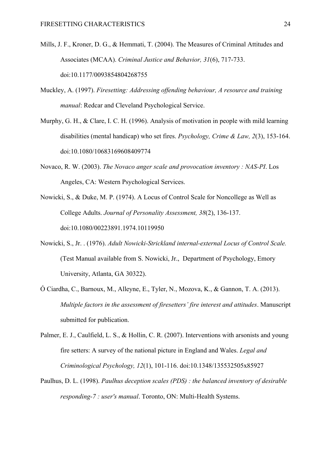- Mills, J. F., Kroner, D. G., & Hemmati, T. (2004). The Measures of Criminal Attitudes and Associates (MCAA). *Criminal Justice and Behavior, 31*(6), 717-733. doi:10.1177/0093854804268755
- Muckley, A. (1997). *Firesetting: Addressing offending behaviour, A resource and training manual*: Redcar and Cleveland Psychological Service.
- Murphy, G. H., & Clare, I. C. H. (1996). Analysis of motivation in people with mild learning disabilities (mental handicap) who set fires. *Psychology, Crime & Law, 2*(3), 153-164. doi:10.1080/10683169608409774
- Novaco, R. W. (2003). *The Novaco anger scale and provocation inventory : NAS-PI*. Los Angeles, CA: Western Psychological Services.
- Nowicki, S., & Duke, M. P. (1974). A Locus of Control Scale for Noncollege as Well as College Adults. *Journal of Personality Assessment, 38*(2), 136-137. doi:10.1080/00223891.1974.10119950
- Nowicki, S., Jr. . (1976). *Adult Nowicki-Strickland internal-external Locus of Control Scale.* (Test Manual available from S. Nowicki, Jr., Department of Psychology, Emory University, Atlanta, GA 30322).
- Ó Ciardha, C., Barnoux, M., Alleyne, E., Tyler, N., Mozova, K., & Gannon, T. A. (2013). *Multiple factors in the assessment of firesetters' fire interest and attitudes*. Manuscript submitted for publication.
- Palmer, E. J., Caulfield, L. S., & Hollin, C. R. (2007). Interventions with arsonists and young fire setters: A survey of the national picture in England and Wales. *Legal and Criminological Psychology, 12*(1), 101-116. doi:10.1348/135532505x85927
- Paulhus, D. L. (1998). *Paulhus deception scales (PDS) : the balanced inventory of desirable responding-7 : user's manual*. Toronto, ON: Multi-Health Systems.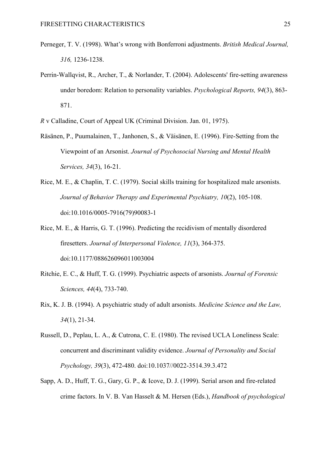- Perneger, T. V. (1998). What's wrong with Bonferroni adjustments. *British Medical Journal, 316,* 1236-1238.
- Perrin-Wallqvist, R., Archer, T., & Norlander, T. (2004). Adolescents' fire-setting awareness under boredom: Relation to personality variables. *Psychological Reports, 94*(3), 863- 871.
- *R* v Calladine, Court of Appeal UK (Criminal Division. Jan. 01, 1975).
- Räsänen, P., Puumalainen, T., Janhonen, S., & Väisänen, E. (1996). Fire-Setting from the Viewpoint of an Arsonist. *Journal of Psychosocial Nursing and Mental Health Services, 34*(3), 16-21.
- Rice, M. E., & Chaplin, T. C. (1979). Social skills training for hospitalized male arsonists. *Journal of Behavior Therapy and Experimental Psychiatry, 10*(2), 105-108. doi:10.1016/0005-7916(79)90083-1
- Rice, M. E., & Harris, G. T. (1996). Predicting the recidivism of mentally disordered firesetters. *Journal of Interpersonal Violence, 11*(3), 364-375. doi:10.1177/088626096011003004
- Ritchie, E. C., & Huff, T. G. (1999). Psychiatric aspects of arsonists. *Journal of Forensic Sciences, 44*(4), 733-740.
- Rix, K. J. B. (1994). A psychiatric study of adult arsonists. *Medicine Science and the Law, 34*(1), 21-34.
- Russell, D., Peplau, L. A., & Cutrona, C. E. (1980). The revised UCLA Loneliness Scale: concurrent and discriminant validity evidence. *Journal of Personality and Social Psychology, 39*(3), 472-480. doi:10.1037//0022-3514.39.3.472
- Sapp, A. D., Huff, T. G., Gary, G. P., & Icove, D. J. (1999). Serial arson and fire-related crime factors. In V. B. Van Hasselt & M. Hersen (Eds.), *Handbook of psychological*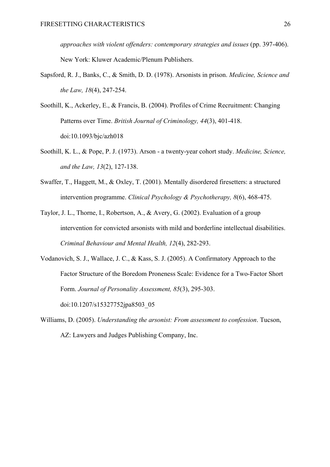*approaches with violent offenders: contemporary strategies and issues* (pp. 397-406). New York: Kluwer Academic/Plenum Publishers.

- Sapsford, R. J., Banks, C., & Smith, D. D. (1978). Arsonists in prison. *Medicine, Science and the Law, 18*(4), 247-254.
- Soothill, K., Ackerley, E., & Francis, B. (2004). Profiles of Crime Recruitment: Changing Patterns over Time. *British Journal of Criminology, 44*(3), 401-418. doi:10.1093/bjc/azh018
- Soothill, K. L., & Pope, P. J. (1973). Arson a twenty-year cohort study. *Medicine, Science, and the Law, 13*(2), 127-138.
- Swaffer, T., Haggett, M., & Oxley, T. (2001). Mentally disordered firesetters: a structured intervention programme. *Clinical Psychology & Psychotherapy, 8*(6), 468-475.
- Taylor, J. L., Thorne, I., Robertson, A., & Avery, G. (2002). Evaluation of a group intervention for convicted arsonists with mild and borderline intellectual disabilities. *Criminal Behaviour and Mental Health, 12*(4), 282-293.
- Vodanovich, S. J., Wallace, J. C., & Kass, S. J. (2005). A Confirmatory Approach to the Factor Structure of the Boredom Proneness Scale: Evidence for a Two-Factor Short Form. *Journal of Personality Assessment, 85*(3), 295-303. doi:10.1207/s15327752jpa8503\_05
- Williams, D. (2005). *Understanding the arsonist: From assessment to confession*. Tucson, AZ: Lawyers and Judges Publishing Company, Inc.